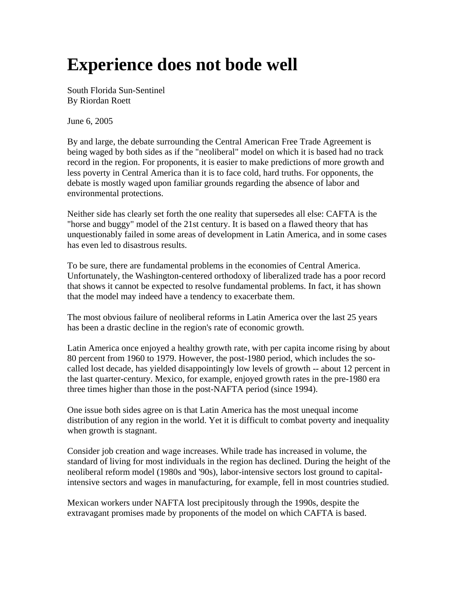## **Experience does not bode well**

South Florida Sun-Sentinel By Riordan Roett

June 6, 2005

By and large, the debate surrounding the Central American Free Trade Agreement is being waged by both sides as if the "neoliberal" model on which it is based had no track record in the region. For proponents, it is easier to make predictions of more growth and less poverty in Central America than it is to face cold, hard truths. For opponents, the debate is mostly waged upon familiar grounds regarding the absence of labor and environmental protections.

Neither side has clearly set forth the one reality that supersedes all else: CAFTA is the "horse and buggy" model of the 21st century. It is based on a flawed theory that has unquestionably failed in some areas of development in Latin America, and in some cases has even led to disastrous results.

To be sure, there are fundamental problems in the economies of Central America. Unfortunately, the Washington-centered orthodoxy of liberalized trade has a poor record that shows it cannot be expected to resolve fundamental problems. In fact, it has shown that the model may indeed have a tendency to exacerbate them.

The most obvious failure of neoliberal reforms in Latin America over the last 25 years has been a drastic decline in the region's rate of economic growth.

Latin America once enjoyed a healthy growth rate, with per capita income rising by about 80 percent from 1960 to 1979. However, the post-1980 period, which includes the socalled lost decade, has yielded disappointingly low levels of growth -- about 12 percent in the last quarter-century. Mexico, for example, enjoyed growth rates in the pre-1980 era three times higher than those in the post-NAFTA period (since 1994).

One issue both sides agree on is that Latin America has the most unequal income distribution of any region in the world. Yet it is difficult to combat poverty and inequality when growth is stagnant.

Consider job creation and wage increases. While trade has increased in volume, the standard of living for most individuals in the region has declined. During the height of the neoliberal reform model (1980s and '90s), labor-intensive sectors lost ground to capitalintensive sectors and wages in manufacturing, for example, fell in most countries studied.

Mexican workers under NAFTA lost precipitously through the 1990s, despite the extravagant promises made by proponents of the model on which CAFTA is based.